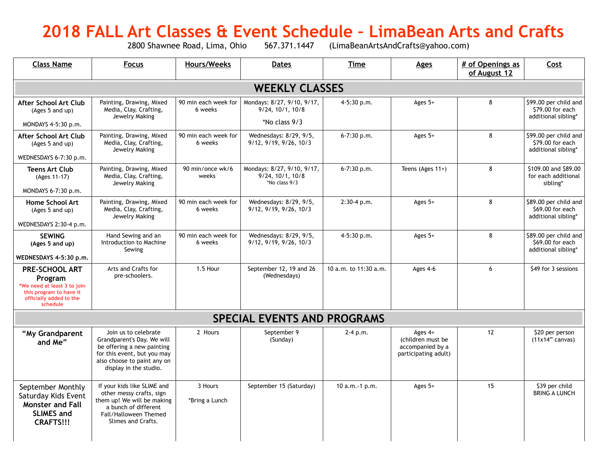# **2018 FALL Art Classes & Event Schedule - LimaBean Arts and Crafts**<br>2800 Shawnee Road, Lima, Ohio 567.371.1447 (LimaBeanArtsAndCrafts@yahoo.com)

(LimaBeanArtsAndCrafts@yahoo.com)

| <b>Class Name</b>                                                                                                          | <b>Focus</b>                                                                                                                                                             | <b>Hours/Weeks</b>              | <b>Dates</b>                                                            | <b>Time</b>           | <b>Ages</b>                                                                | # of Openings as<br>of August 12 | Cost                                                             |  |  |  |  |  |
|----------------------------------------------------------------------------------------------------------------------------|--------------------------------------------------------------------------------------------------------------------------------------------------------------------------|---------------------------------|-------------------------------------------------------------------------|-----------------------|----------------------------------------------------------------------------|----------------------------------|------------------------------------------------------------------|--|--|--|--|--|
| <b>WEEKLY CLASSES</b>                                                                                                      |                                                                                                                                                                          |                                 |                                                                         |                       |                                                                            |                                  |                                                                  |  |  |  |  |  |
| After School Art Club<br>(Ages 5 and up)                                                                                   | Painting, Drawing, Mixed<br>Media, Clay, Crafting,<br>Jewelry Making                                                                                                     | 90 min each week for<br>6 weeks | Mondays: 8/27, 9/10, 9/17,<br>$9/24$ , $10/1$ , $10/8$                  | 4-5:30 p.m.           | Ages $5+$                                                                  | 8                                | \$99.00 per child and<br>\$79.00 for each<br>additional sibling* |  |  |  |  |  |
| MONDAYS 4-5:30 p.m.                                                                                                        |                                                                                                                                                                          |                                 | *No class 9/3                                                           |                       |                                                                            |                                  |                                                                  |  |  |  |  |  |
| After School Art Club<br>(Ages 5 and up)                                                                                   | Painting, Drawing, Mixed<br>Media, Clay, Crafting,<br>Jewelry Making                                                                                                     | 90 min each week for<br>6 weeks | Wednesdays: 8/29, 9/5,<br>9/12, 9/19, 9/26, 10/3                        | $6 - 7:30$ p.m.       | Ages $5+$                                                                  | 8                                | \$99.00 per child and<br>\$79.00 for each<br>additional sibling* |  |  |  |  |  |
| WEDNESDAYS 6-7:30 p.m.                                                                                                     |                                                                                                                                                                          |                                 |                                                                         |                       |                                                                            |                                  |                                                                  |  |  |  |  |  |
| <b>Teens Art Club</b><br>(Ages 11-17)                                                                                      | Painting, Drawing, Mixed<br>Media, Clay, Crafting,<br>Jewelry Making                                                                                                     | 90 min/once wk/6<br>weeks       | Mondays: 8/27, 9/10, 9/17,<br>$9/24$ , $10/1$ , $10/8$<br>*No class 9/3 | $6 - 7:30$ p.m.       | Teens (Ages $11+$ )                                                        | 8                                | \$109.00 and \$89.00<br>for each additional<br>sibling*          |  |  |  |  |  |
| MONDAYS 6-7:30 p.m.                                                                                                        |                                                                                                                                                                          |                                 |                                                                         |                       |                                                                            |                                  |                                                                  |  |  |  |  |  |
| <b>Home School Art</b><br>(Ages 5 and up)                                                                                  | Painting, Drawing, Mixed<br>Media, Clay, Crafting,<br>Jewelry Making                                                                                                     | 90 min each week for<br>6 weeks | Wednesdays: 8/29, 9/5,<br>9/12, 9/19, 9/26, 10/3                        | $2:30-4 p.m.$         | Ages $5+$                                                                  | 8                                | \$89.00 per child and<br>\$69.00 for each<br>additional sibling* |  |  |  |  |  |
| WEDNESDAYS 2:30-4 p.m.                                                                                                     |                                                                                                                                                                          |                                 |                                                                         |                       |                                                                            |                                  |                                                                  |  |  |  |  |  |
| <b>SEWING</b><br>(Ages 5 and up)                                                                                           | Hand Sewing and an<br>Introduction to Machine<br>Sewing                                                                                                                  | 90 min each week for<br>6 weeks | Wednesdays: 8/29, 9/5,<br>9/12, 9/19, 9/26, 10/3                        | 4-5:30 p.m.           | Ages $5+$                                                                  | 8                                | \$89.00 per child and<br>\$69.00 for each<br>additional sibling* |  |  |  |  |  |
| WEDNESDAYS 4-5:30 p.m.                                                                                                     |                                                                                                                                                                          |                                 |                                                                         |                       |                                                                            |                                  |                                                                  |  |  |  |  |  |
| PRE-SCHOOL ART<br>Program<br>*We need at least 3 to join<br>this program to have it<br>officially added to the<br>schedule | Arts and Crafts for<br>pre-schoolers.                                                                                                                                    | 1.5 Hour                        | September 12, 19 and 26<br>(Wednesdays)                                 | 10 a.m. to 11:30 a.m. | Ages 4-6                                                                   | 6                                | \$49 for 3 sessions                                              |  |  |  |  |  |
| <b>SPECIAL EVENTS AND PROGRAMS</b>                                                                                         |                                                                                                                                                                          |                                 |                                                                         |                       |                                                                            |                                  |                                                                  |  |  |  |  |  |
| "My Grandparent<br>and Me"                                                                                                 | Join us to celebrate<br>Grandparent's Day. We will<br>be offering a new painting<br>for this event, but you may<br>also choose to paint any on<br>display in the studio. | 2 Hours                         | September 9<br>(Sunday)                                                 | $2 - 4 p.m.$          | Ages $4+$<br>(children must be<br>accompanied by a<br>participating adult) | 12                               | \$20 per person<br>$(11x14"$ canvas)                             |  |  |  |  |  |
| September Monthly<br>Saturday Kids Event<br><b>Monster and Fall</b><br><b>SLIMES and</b><br><b>CRAFTS!!!</b>               | If your kids like SLIME and<br>other messy crafts, sign<br>them up! We will be making<br>a bunch of different<br>Fall/Halloween Themed<br>Slimes and Crafts.             | 3 Hours<br>*Bring a Lunch       | September 15 (Saturday)                                                 | 10 a.m. -1 p.m.       | Ages 5+                                                                    | 15                               | \$39 per child<br><b>BRING A LUNCH</b>                           |  |  |  |  |  |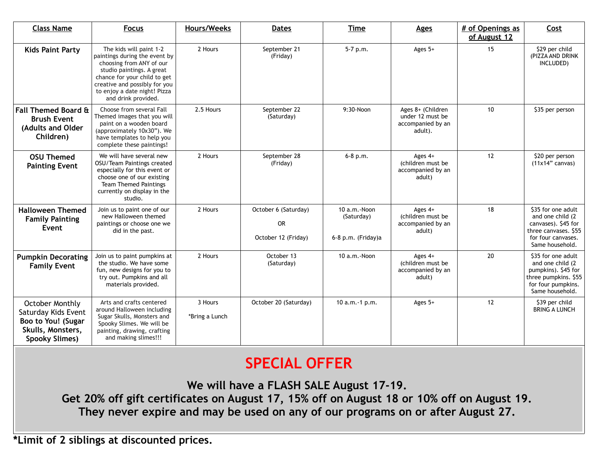| <b>Class Name</b>                                                                                   | <b>Focus</b>                                                                                                                                                                                                                              | <b>Hours/Weeks</b>        | <b>Dates</b>                                             | <b>Time</b>                                      | <b>Ages</b>                                                           | # of Openings as<br>of August 12 | Cost                                                                                                                            |
|-----------------------------------------------------------------------------------------------------|-------------------------------------------------------------------------------------------------------------------------------------------------------------------------------------------------------------------------------------------|---------------------------|----------------------------------------------------------|--------------------------------------------------|-----------------------------------------------------------------------|----------------------------------|---------------------------------------------------------------------------------------------------------------------------------|
| <b>Kids Paint Party</b>                                                                             | The kids will paint 1-2<br>paintings during the event by<br>choosing from ANY of our<br>studio paintings. A great<br>chance for your child to get<br>creative and possibly for you<br>to enjoy a date night! Pizza<br>and drink provided. | 2 Hours                   | September 21<br>(Friday)                                 | 5-7 p.m.                                         | Ages $5+$                                                             | 15                               | \$29 per child<br>(PIZZA AND DRINK<br>INCLUDED)                                                                                 |
| <b>Fall Themed Board &amp;</b><br><b>Brush Event</b><br>(Adults and Older<br>Children)              | Choose from several Fall<br>Themed images that you will<br>paint on a wooden board<br>(approximately 10x30"). We<br>have templates to help you<br>complete these paintings!                                                               | 2.5 Hours                 | September 22<br>(Saturday)                               | 9:30-Noon                                        | Ages 8+ (Children<br>under 12 must be<br>accompanied by an<br>adult). | 10                               | \$35 per person                                                                                                                 |
| <b>OSU Themed</b><br><b>Painting Event</b>                                                          | We will have several new<br>OSU/Team Paintings created<br>especially for this event or<br>choose one of our existing<br><b>Team Themed Paintings</b><br>currently on display in the<br>studio.                                            | 2 Hours                   | September 28<br>(Friday)                                 | $6 - 8 p.m.$                                     | Ages $4+$<br>(children must be<br>accompanied by an<br>adult)         | 12                               | \$20 per person<br>$(11x14"$ canvas)                                                                                            |
| <b>Halloween Themed</b><br><b>Family Painting</b><br>Event                                          | Join us to paint one of our<br>new Halloween themed<br>paintings or choose one we<br>did in the past.                                                                                                                                     | 2 Hours                   | October 6 (Saturday)<br><b>OR</b><br>October 12 (Friday) | 10 a.m.-Noon<br>(Saturday)<br>6-8 p.m. (Friday)a | Ages $4+$<br>(children must be<br>accompanied by an<br>adult)         | 18                               | \$35 for one adult<br>and one child (2)<br>canvases). \$45 for<br>three canvases. \$55<br>for four canvases.<br>Same household. |
| <b>Pumpkin Decorating</b><br><b>Family Event</b>                                                    | Join us to paint pumpkins at<br>the studio. We have some<br>fun, new designs for you to<br>try out. Pumpkins and all<br>materials provided.                                                                                               | 2 Hours                   | October 13<br>(Saturday)                                 | 10 a.m. - Noon                                   | Ages $4+$<br>(children must be<br>accompanied by an<br>adult)         | 20                               | \$35 for one adult<br>and one child (2)<br>pumpkins). \$45 for<br>three pumpkins. \$55<br>for four pumpkins.<br>Same household. |
| October Monthly<br>Saturday Kids Event<br>Boo to You! (Sugar<br>Skulls, Monsters,<br>Spooky Slimes) | Arts and crafts centered<br>around Halloween including<br>Sugar Skulls, Monsters and<br>Spooky Slimes. We will be<br>painting, drawing, crafting<br>and making slimes!!!                                                                  | 3 Hours<br>*Bring a Lunch | October 20 (Saturday)                                    | 10 a.m. -1 p.m.                                  | Ages $5+$                                                             | 12                               | \$39 per child<br><b>BRING A LUNCH</b>                                                                                          |

## **SPECIAL OFFER**

**We will have a FLASH SALE August 17-19. Get 20% off gift certificates on August 17, 15% off on August 18 or 10% off on August 19. They never expire and may be used on any of our programs on or after August 27.**